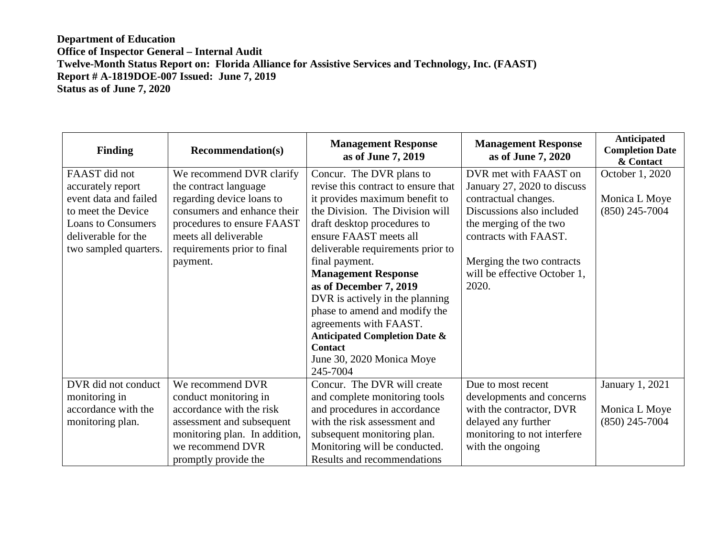| <b>Finding</b>            | <b>Recommendation(s)</b>      | <b>Management Response</b><br>as of June 7, 2019 | <b>Management Response</b><br>as of June 7, 2020 | Anticipated<br><b>Completion Date</b><br>& Contact |
|---------------------------|-------------------------------|--------------------------------------------------|--------------------------------------------------|----------------------------------------------------|
| FAAST did not             | We recommend DVR clarify      | Concur. The DVR plans to                         | DVR met with FAAST on                            | October 1, 2020                                    |
| accurately report         | the contract language         | revise this contract to ensure that              | January 27, 2020 to discuss                      |                                                    |
| event data and failed     | regarding device loans to     | it provides maximum benefit to                   | contractual changes.                             | Monica L Moye                                      |
| to meet the Device        | consumers and enhance their   | the Division. The Division will                  | Discussions also included                        | $(850)$ 245-7004                                   |
| <b>Loans to Consumers</b> | procedures to ensure FAAST    | draft desktop procedures to                      | the merging of the two                           |                                                    |
| deliverable for the       | meets all deliverable         | ensure FAAST meets all                           | contracts with FAAST.                            |                                                    |
| two sampled quarters.     | requirements prior to final   | deliverable requirements prior to                |                                                  |                                                    |
|                           | payment.                      | final payment.                                   | Merging the two contracts                        |                                                    |
|                           |                               | <b>Management Response</b>                       | will be effective October 1,                     |                                                    |
|                           |                               | as of December 7, 2019                           | 2020.                                            |                                                    |
|                           |                               | DVR is actively in the planning                  |                                                  |                                                    |
|                           |                               | phase to amend and modify the                    |                                                  |                                                    |
|                           |                               | agreements with FAAST.                           |                                                  |                                                    |
|                           |                               | <b>Anticipated Completion Date &amp;</b>         |                                                  |                                                    |
|                           |                               | <b>Contact</b>                                   |                                                  |                                                    |
|                           |                               | June 30, 2020 Monica Moye                        |                                                  |                                                    |
|                           |                               | 245-7004                                         |                                                  |                                                    |
| DVR did not conduct       | We recommend DVR              | Concur. The DVR will create                      | Due to most recent                               | January 1, 2021                                    |
| monitoring in             | conduct monitoring in         | and complete monitoring tools                    | developments and concerns                        |                                                    |
| accordance with the       | accordance with the risk      | and procedures in accordance                     | with the contractor, DVR                         | Monica L Moye                                      |
| monitoring plan.          | assessment and subsequent     | with the risk assessment and                     | delayed any further                              | $(850)$ 245-7004                                   |
|                           | monitoring plan. In addition, | subsequent monitoring plan.                      | monitoring to not interfere                      |                                                    |
|                           | we recommend DVR              | Monitoring will be conducted.                    | with the ongoing                                 |                                                    |
|                           | promptly provide the          | Results and recommendations                      |                                                  |                                                    |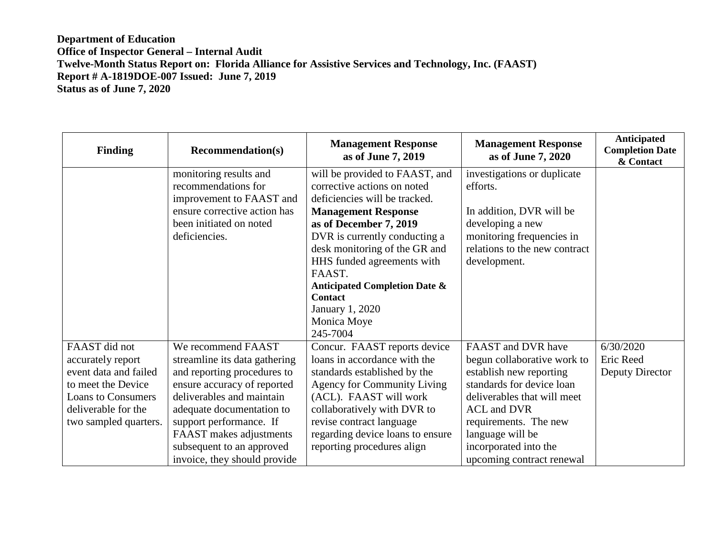| <b>Finding</b>                                                                                                                                                 | <b>Recommendation(s)</b>                                                                                                                                                                                                                                                                       | <b>Management Response</b><br>as of June 7, 2019                                                                                                                                                                                                                                                                                                                             | <b>Management Response</b><br>as of June 7, 2020                                                                                                                                                                                                                  | Anticipated<br><b>Completion Date</b><br>& Contact |
|----------------------------------------------------------------------------------------------------------------------------------------------------------------|------------------------------------------------------------------------------------------------------------------------------------------------------------------------------------------------------------------------------------------------------------------------------------------------|------------------------------------------------------------------------------------------------------------------------------------------------------------------------------------------------------------------------------------------------------------------------------------------------------------------------------------------------------------------------------|-------------------------------------------------------------------------------------------------------------------------------------------------------------------------------------------------------------------------------------------------------------------|----------------------------------------------------|
|                                                                                                                                                                | monitoring results and<br>recommendations for<br>improvement to FAAST and<br>ensure corrective action has<br>been initiated on noted<br>deficiencies.                                                                                                                                          | will be provided to FAAST, and<br>corrective actions on noted<br>deficiencies will be tracked.<br><b>Management Response</b><br>as of December 7, 2019<br>DVR is currently conducting a<br>desk monitoring of the GR and<br>HHS funded agreements with<br>FAAST.<br><b>Anticipated Completion Date &amp;</b><br><b>Contact</b><br>January 1, 2020<br>Monica Moye<br>245-7004 | investigations or duplicate<br>efforts.<br>In addition, DVR will be<br>developing a new<br>monitoring frequencies in<br>relations to the new contract<br>development.                                                                                             |                                                    |
| FAAST did not<br>accurately report<br>event data and failed<br>to meet the Device<br><b>Loans to Consumers</b><br>deliverable for the<br>two sampled quarters. | We recommend FAAST<br>streamline its data gathering<br>and reporting procedures to<br>ensure accuracy of reported<br>deliverables and maintain<br>adequate documentation to<br>support performance. If<br>FAAST makes adjustments<br>subsequent to an approved<br>invoice, they should provide | Concur. FAAST reports device<br>loans in accordance with the<br>standards established by the<br><b>Agency for Community Living</b><br>(ACL). FAAST will work<br>collaboratively with DVR to<br>revise contract language<br>regarding device loans to ensure<br>reporting procedures align                                                                                    | FAAST and DVR have<br>begun collaborative work to<br>establish new reporting<br>standards for device loan<br>deliverables that will meet<br><b>ACL</b> and DVR<br>requirements. The new<br>language will be<br>incorporated into the<br>upcoming contract renewal | 6/30/2020<br>Eric Reed<br>Deputy Director          |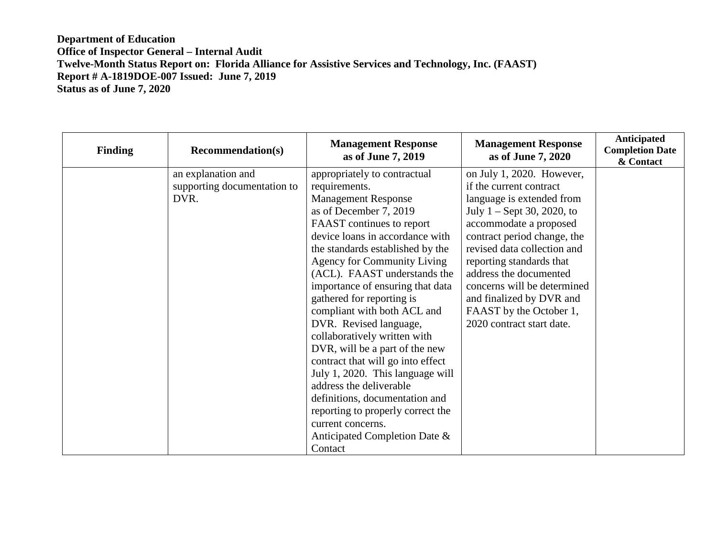| <b>Finding</b> | <b>Recommendation(s)</b>    | <b>Management Response</b><br>as of June 7, 2019 | <b>Management Response</b><br>as of June 7, 2020 | <b>Anticipated</b><br><b>Completion Date</b><br>& Contact |
|----------------|-----------------------------|--------------------------------------------------|--------------------------------------------------|-----------------------------------------------------------|
|                | an explanation and          | appropriately to contractual                     | on July 1, 2020. However,                        |                                                           |
|                | supporting documentation to | requirements.                                    | if the current contract                          |                                                           |
|                | DVR.                        | <b>Management Response</b>                       | language is extended from                        |                                                           |
|                |                             | as of December 7, 2019                           | July $1 -$ Sept 30, 2020, to                     |                                                           |
|                |                             | FAAST continues to report                        | accommodate a proposed                           |                                                           |
|                |                             | device loans in accordance with                  | contract period change, the                      |                                                           |
|                |                             | the standards established by the                 | revised data collection and                      |                                                           |
|                |                             | <b>Agency for Community Living</b>               | reporting standards that                         |                                                           |
|                |                             | (ACL). FAAST understands the                     | address the documented                           |                                                           |
|                |                             | importance of ensuring that data                 | concerns will be determined                      |                                                           |
|                |                             | gathered for reporting is                        | and finalized by DVR and                         |                                                           |
|                |                             | compliant with both ACL and                      | FAAST by the October 1,                          |                                                           |
|                |                             | DVR. Revised language,                           | 2020 contract start date.                        |                                                           |
|                |                             | collaboratively written with                     |                                                  |                                                           |
|                |                             | DVR, will be a part of the new                   |                                                  |                                                           |
|                |                             | contract that will go into effect                |                                                  |                                                           |
|                |                             | July 1, 2020. This language will                 |                                                  |                                                           |
|                |                             | address the deliverable                          |                                                  |                                                           |
|                |                             | definitions, documentation and                   |                                                  |                                                           |
|                |                             | reporting to properly correct the                |                                                  |                                                           |
|                |                             | current concerns.                                |                                                  |                                                           |
|                |                             | Anticipated Completion Date &                    |                                                  |                                                           |
|                |                             | Contact                                          |                                                  |                                                           |